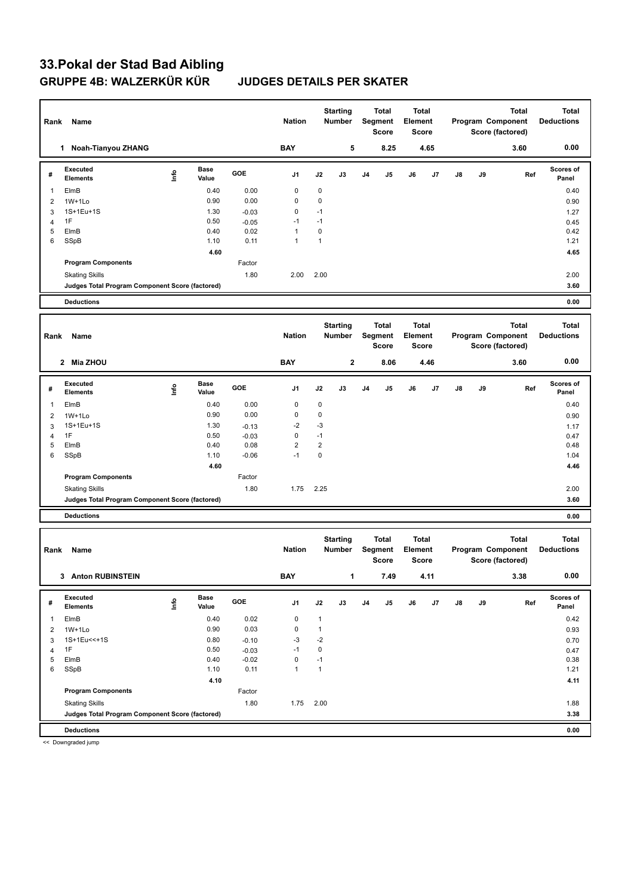# **33.Pokal der Stad Bad Aibling GRUPPE 4B: WALZERKÜR KÜR JUDGES DETAILS PER SKATER**

| Rank<br>Name         |                                                                          |             |               | <b>Nation</b> |                | <b>Starting</b><br>Number |                 | <b>Total</b><br>Segment<br>Score |              | <b>Total</b><br>Element<br>Score |              | <b>Total</b><br>Program Component<br>Score (factored) |      | <b>Total</b><br><b>Deductions</b> |                    |
|----------------------|--------------------------------------------------------------------------|-------------|---------------|---------------|----------------|---------------------------|-----------------|----------------------------------|--------------|----------------------------------|--------------|-------------------------------------------------------|------|-----------------------------------|--------------------|
| 1 Noah-Tianyou ZHANG |                                                                          |             |               | <b>BAY</b>    |                | 5                         |                 | 8.25                             |              | 4.65                             |              |                                                       | 3.60 | 0.00                              |                    |
| #                    | Executed<br><b>Elements</b>                                              | <u>Info</u> | Base<br>Value | GOE           | J1             | J2                        | J3              | J4                               | J5           | J6                               | J7           | J8                                                    | J9   | Ref                               | Scores of<br>Panel |
| $\overline{1}$       | ElmB                                                                     |             | 0.40          | 0.00          | 0              | $\mathbf 0$               |                 |                                  |              |                                  |              |                                                       |      |                                   | 0.40               |
| $\overline{2}$       | $1W+1Lo$                                                                 |             | 0.90          | 0.00          | 0              | $\mathbf 0$               |                 |                                  |              |                                  |              |                                                       |      |                                   | 0.90               |
| 3                    | 1S+1Eu+1S                                                                |             | 1.30          | $-0.03$       | 0              | $-1$                      |                 |                                  |              |                                  |              |                                                       |      |                                   | 1.27               |
| $\overline{4}$       | 1F                                                                       |             | 0.50          | $-0.05$       | $-1$           | $-1$                      |                 |                                  |              |                                  |              |                                                       |      |                                   | 0.45               |
| 5                    | ElmB                                                                     |             | 0.40          | 0.02          | 1              | $\mathbf 0$               |                 |                                  |              |                                  |              |                                                       |      |                                   | 0.42               |
| 6                    | SSpB                                                                     |             | 1.10          | 0.11          | 1              | $\mathbf{1}$              |                 |                                  |              |                                  |              |                                                       |      |                                   | 1.21               |
|                      | <b>Program Components</b>                                                |             | 4.60          | Factor        |                |                           |                 |                                  |              |                                  |              |                                                       |      |                                   | 4.65               |
|                      |                                                                          |             |               |               |                |                           |                 |                                  |              |                                  |              |                                                       |      |                                   |                    |
|                      | <b>Skating Skills</b>                                                    |             |               | 1.80          | 2.00           | 2.00                      |                 |                                  |              |                                  |              |                                                       |      |                                   | 2.00               |
|                      | Judges Total Program Component Score (factored)                          |             |               |               |                |                           |                 |                                  |              |                                  |              |                                                       |      |                                   | 3.60               |
|                      | <b>Deductions</b>                                                        |             |               |               |                |                           |                 |                                  |              |                                  |              |                                                       |      |                                   | 0.00               |
|                      |                                                                          |             |               |               |                |                           | <b>Starting</b> |                                  | <b>Total</b> |                                  | <b>Total</b> |                                                       |      | <b>Total</b>                      | <b>Total</b>       |
| Rank                 | Name                                                                     |             |               |               | <b>Nation</b>  |                           | Number          |                                  | Segment      | Element                          |              |                                                       |      | Program Component                 | <b>Deductions</b>  |
|                      |                                                                          |             |               |               |                |                           |                 |                                  | <b>Score</b> |                                  | <b>Score</b> |                                                       |      | Score (factored)                  |                    |
|                      | 2 Mia ZHOU                                                               |             |               |               | <b>BAY</b>     |                           | $\mathbf 2$     |                                  | 8.06         |                                  | 4.46         |                                                       |      | 3.60                              | 0.00               |
|                      |                                                                          |             |               |               |                |                           |                 |                                  |              |                                  |              |                                                       |      |                                   |                    |
| #                    | Executed<br><b>Elements</b>                                              | lnfo        | Base<br>Value | GOE           | J1             | J2                        | J3              | J4                               | J5           | J6                               | J7           | J8                                                    | J9   | Ref                               | Scores of<br>Panel |
| $\mathbf{1}$         | ElmB                                                                     |             | 0.40          | 0.00          | 0              | $\mathbf 0$               |                 |                                  |              |                                  |              |                                                       |      |                                   |                    |
| $\overline{2}$       | $1W+1Lo$                                                                 |             | 0.90          | 0.00          | 0              | $\mathbf 0$               |                 |                                  |              |                                  |              |                                                       |      |                                   | 0.40<br>0.90       |
| 3                    | 1S+1Eu+1S                                                                |             | 1.30          | $-0.13$       | -2             | -3                        |                 |                                  |              |                                  |              |                                                       |      |                                   |                    |
| 4                    | 1F                                                                       |             | 0.50          | $-0.03$       | 0              | $-1$                      |                 |                                  |              |                                  |              |                                                       |      |                                   | 1.17<br>0.47       |
| 5                    | ElmB                                                                     |             | 0.40          | 0.08          | $\overline{c}$ | $\overline{2}$            |                 |                                  |              |                                  |              |                                                       |      |                                   | 0.48               |
| 6                    | SSpB                                                                     |             | 1.10          | $-0.06$       | $-1$           | $\mathbf 0$               |                 |                                  |              |                                  |              |                                                       |      |                                   | 1.04               |
|                      |                                                                          |             | 4.60          |               |                |                           |                 |                                  |              |                                  |              |                                                       |      |                                   | 4.46               |
|                      | <b>Program Components</b>                                                |             |               | Factor        |                |                           |                 |                                  |              |                                  |              |                                                       |      |                                   |                    |
|                      | <b>Skating Skills</b>                                                    |             |               | 1.80          | 1.75           | 2.25                      |                 |                                  |              |                                  |              |                                                       |      |                                   | 2.00               |
|                      | Judges Total Program Component Score (factored)                          |             |               |               |                |                           |                 |                                  |              |                                  |              |                                                       |      |                                   | 3.60               |
|                      | <b>Deductions</b>                                                        |             |               |               |                |                           |                 |                                  |              |                                  |              |                                                       |      |                                   | 0.00               |
|                      |                                                                          |             |               |               |                |                           |                 |                                  |              |                                  |              |                                                       |      |                                   |                    |
|                      |                                                                          |             |               |               |                |                           | <b>Starting</b> |                                  | Total        |                                  | <b>Total</b> |                                                       |      | <b>Total</b>                      | <b>Total</b>       |
| Rank                 | Name                                                                     |             |               |               | <b>Nation</b>  |                           | <b>Number</b>   |                                  | Segment      | Element                          |              |                                                       |      | Program Component                 | <b>Deductions</b>  |
|                      |                                                                          |             |               |               |                |                           |                 |                                  | Score        |                                  | Score        |                                                       |      | Score (factored)                  |                    |
|                      | 3 Anton RUBINSTEIN                                                       |             |               |               | <b>BAY</b>     |                           | 1               |                                  | 7.49         |                                  | 4.11         |                                                       |      | 3.38                              | 0.00               |
|                      | Executed                                                                 |             | Base          |               |                |                           |                 |                                  |              |                                  |              |                                                       |      |                                   | Scores of          |
| #                    | <b>Elements</b>                                                          | lnfo        | Value         | GOE           | J1             | J2                        | J3              | J <sub>4</sub>                   | J5           | J6                               | J7           | J8                                                    | J9   | Ref                               | Panel              |
| $\overline{1}$       | ElmB                                                                     |             | 0.40          | 0.02          | 0              | $\mathbf{1}$              |                 |                                  |              |                                  |              |                                                       |      |                                   | 0.42               |
| $\overline{2}$       | $1W+1Lo$                                                                 |             | 0.90          | 0.03          | 0              | $\mathbf{1}$              |                 |                                  |              |                                  |              |                                                       |      |                                   | 0.93               |
| 3                    | 1S+1Eu<<+1S                                                              |             | 0.80          | $-0.10$       | $-3$           | $-2$                      |                 |                                  |              |                                  |              |                                                       |      |                                   | 0.70               |
| $\overline{4}$       | 1F                                                                       |             | 0.50          | $-0.03$       | $-1$           | $\mathbf 0$               |                 |                                  |              |                                  |              |                                                       |      |                                   | 0.47               |
| 5                    | ElmB                                                                     |             | 0.40          | $-0.02$       | 0              | $-1$                      |                 |                                  |              |                                  |              |                                                       |      |                                   | 0.38               |
| 6                    | SSpB                                                                     |             | 1.10          | 0.11          | $\mathbf{1}$   | $\mathbf{1}$              |                 |                                  |              |                                  |              |                                                       |      |                                   | 1.21               |
|                      |                                                                          |             | 4.10          | Factor        |                |                           |                 |                                  |              |                                  |              |                                                       |      |                                   | 4.11               |
|                      | <b>Program Components</b>                                                |             |               |               |                |                           |                 |                                  |              |                                  |              |                                                       |      |                                   |                    |
|                      | <b>Skating Skills</b><br>Judges Total Program Component Score (factored) |             |               | 1.80          | 1.75           | 2.00                      |                 |                                  |              |                                  |              |                                                       |      |                                   | 1.88<br>3.38       |
|                      |                                                                          |             |               |               |                |                           |                 |                                  |              |                                  |              |                                                       |      |                                   |                    |
|                      | <b>Deductions</b>                                                        |             |               |               |                |                           |                 |                                  |              |                                  |              |                                                       |      |                                   | 0.00               |

<< Downgraded jump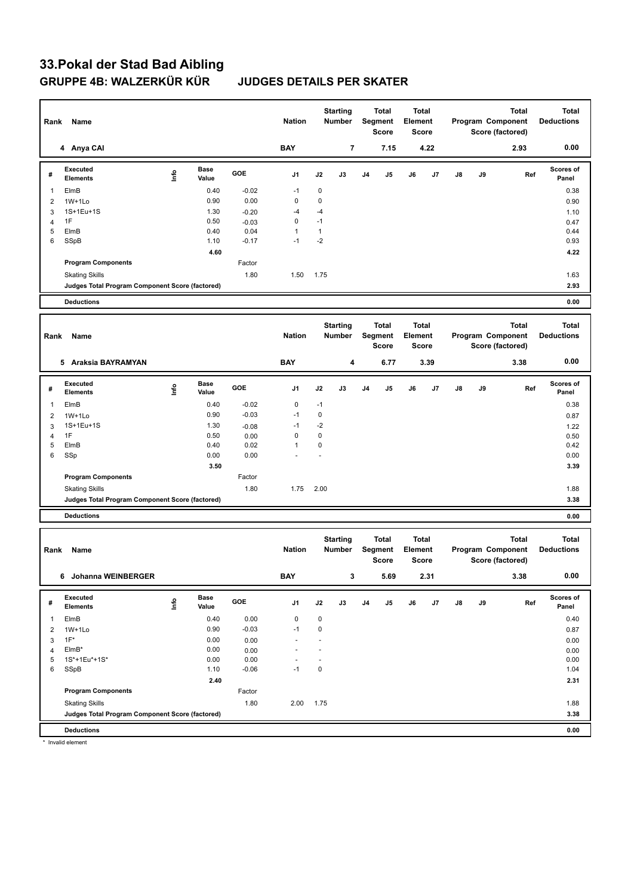# **33.Pokal der Stad Bad Aibling GRUPPE 4B: WALZERKÜR KÜR JUDGES DETAILS PER SKATER**

| Rank           | Name                                            |                                  |                      |                 | <b>Nation</b>     |                        | <b>Starting</b><br>Number |    | <b>Total</b><br>Segment<br>Score | Element | <b>Total</b><br><b>Score</b> |    |    | <b>Total</b><br>Program Component<br>Score (factored) | <b>Total</b><br><b>Deductions</b> |
|----------------|-------------------------------------------------|----------------------------------|----------------------|-----------------|-------------------|------------------------|---------------------------|----|----------------------------------|---------|------------------------------|----|----|-------------------------------------------------------|-----------------------------------|
|                | 4 Anya CAI                                      |                                  |                      |                 | <b>BAY</b>        |                        | 7                         |    | 7.15                             |         | 4.22                         |    |    | 2.93                                                  | 0.00                              |
| #              | Executed<br><b>Elements</b>                     | Info                             | Base<br>Value        | GOE             | J1                | J2                     | J3                        | J4 | J5                               | J6      | J7                           | J8 | J9 | Ref                                                   | Scores of<br>Panel                |
| $\mathbf{1}$   | ElmB                                            |                                  | 0.40                 | $-0.02$         | $-1$              | 0                      |                           |    |                                  |         |                              |    |    |                                                       | 0.38                              |
| 2              | $1W+1Lo$                                        |                                  | 0.90                 | 0.00            | $\pmb{0}$         | $\pmb{0}$              |                           |    |                                  |         |                              |    |    |                                                       | 0.90                              |
| 3              | 1S+1Eu+1S                                       |                                  | 1.30                 | $-0.20$         | -4                | -4                     |                           |    |                                  |         |                              |    |    |                                                       | 1.10                              |
| 4<br>5         | 1F                                              |                                  | 0.50<br>0.40         | $-0.03$         | 0<br>1            | $-1$<br>$\mathbf{1}$   |                           |    |                                  |         |                              |    |    |                                                       | 0.47<br>0.44                      |
| 6              | ElmB<br>SSpB                                    |                                  | 1.10                 | 0.04<br>$-0.17$ | $-1$              | $-2$                   |                           |    |                                  |         |                              |    |    |                                                       | 0.93                              |
|                |                                                 |                                  | 4.60                 |                 |                   |                        |                           |    |                                  |         |                              |    |    |                                                       | 4.22                              |
|                | <b>Program Components</b>                       |                                  |                      | Factor          |                   |                        |                           |    |                                  |         |                              |    |    |                                                       |                                   |
|                | <b>Skating Skills</b>                           |                                  |                      | 1.80            | 1.50              | 1.75                   |                           |    |                                  |         |                              |    |    |                                                       | 1.63                              |
|                | Judges Total Program Component Score (factored) |                                  |                      |                 |                   |                        |                           |    |                                  |         |                              |    |    |                                                       | 2.93                              |
|                | <b>Deductions</b>                               |                                  |                      |                 |                   |                        |                           |    |                                  |         |                              |    |    |                                                       | 0.00                              |
|                |                                                 |                                  |                      |                 |                   |                        |                           |    |                                  |         |                              |    |    |                                                       |                                   |
| Rank           | Name                                            |                                  |                      |                 | <b>Nation</b>     |                        | <b>Starting</b><br>Number |    | Total<br>Segment                 | Element | <b>Total</b>                 |    |    | <b>Total</b><br>Program Component                     | <b>Total</b><br><b>Deductions</b> |
|                |                                                 |                                  |                      |                 |                   |                        |                           |    | <b>Score</b>                     |         | <b>Score</b>                 |    |    | Score (factored)                                      |                                   |
|                |                                                 |                                  |                      |                 |                   |                        |                           |    |                                  |         |                              |    |    |                                                       |                                   |
|                | 5 Araksia BAYRAMYAN                             |                                  |                      |                 | <b>BAY</b>        |                        | 4                         |    | 6.77                             |         | 3.39                         |    |    | 3.38                                                  | 0.00                              |
| #              | Executed<br><b>Elements</b>                     | Info                             | Base<br>Value        | GOE             | J1                | J2                     | J3                        | J4 | J5                               | J6      | J7                           | J8 | J9 | Ref                                                   | Scores of<br>Panel                |
| $\mathbf{1}$   | ElmB                                            |                                  | 0.40                 | $-0.02$         | $\pmb{0}$         | $-1$                   |                           |    |                                  |         |                              |    |    |                                                       | 0.38                              |
| 2              | $1W+1Lo$                                        |                                  | 0.90                 | $-0.03$         | $-1$              | $\pmb{0}$              |                           |    |                                  |         |                              |    |    |                                                       | 0.87                              |
| 3              | 1S+1Eu+1S                                       |                                  | 1.30                 | $-0.08$         | $-1$              | $-2$                   |                           |    |                                  |         |                              |    |    |                                                       | 1.22                              |
| 4<br>5         | 1F                                              |                                  | 0.50                 | 0.00            | 0<br>$\mathbf{1}$ | $\pmb{0}$<br>$\pmb{0}$ |                           |    |                                  |         |                              |    |    |                                                       | 0.50                              |
| 6              | ElmB<br>SSp                                     |                                  | 0.40<br>0.00         | 0.02<br>0.00    |                   |                        |                           |    |                                  |         |                              |    |    |                                                       | 0.42<br>0.00                      |
|                |                                                 |                                  | 3.50                 |                 |                   |                        |                           |    |                                  |         |                              |    |    |                                                       | 3.39                              |
|                | <b>Program Components</b>                       |                                  |                      | Factor          |                   |                        |                           |    |                                  |         |                              |    |    |                                                       |                                   |
|                | <b>Skating Skills</b>                           |                                  |                      | 1.80            | 1.75              | 2.00                   |                           |    |                                  |         |                              |    |    |                                                       | 1.88                              |
|                | Judges Total Program Component Score (factored) |                                  |                      |                 |                   |                        |                           |    |                                  |         |                              |    |    |                                                       | 3.38                              |
|                | <b>Deductions</b>                               |                                  |                      |                 |                   |                        |                           |    |                                  |         |                              |    |    |                                                       | 0.00                              |
|                |                                                 |                                  |                      |                 |                   |                        |                           |    |                                  |         |                              |    |    |                                                       |                                   |
|                |                                                 |                                  |                      |                 |                   |                        | <b>Starting</b>           |    | Total                            |         | Total                        |    |    | <b>Total</b>                                          | <b>Total</b>                      |
| Rank           | Name                                            |                                  |                      |                 | <b>Nation</b>     |                        | Number                    |    | Segment<br><b>Score</b>          | Element | <b>Score</b>                 |    |    | Program Component<br>Score (factored)                 | <b>Deductions</b>                 |
|                | 6 Johanna WEINBERGER                            |                                  |                      |                 | <b>BAY</b>        |                        | 3                         |    | 5.69                             |         | 2.31                         |    |    | 3.38                                                  | 0.00                              |
|                |                                                 |                                  |                      |                 |                   |                        |                           |    |                                  |         |                              |    |    |                                                       |                                   |
| #              | Executed<br><b>Elements</b>                     | $\mathop{\mathsf{Int}}\nolimits$ | <b>Base</b><br>Value | GOE             | J1                | J2                     | J3                        | J4 | J5                               | J6      | J7                           | J8 | J9 | Ref                                                   | Scores of<br>Panel                |
| $\mathbf{1}$   | ElmB                                            |                                  | 0.40                 | 0.00            | 0                 | $\pmb{0}$              |                           |    |                                  |         |                              |    |    |                                                       | 0.40                              |
| $\overline{2}$ | 1W+1Lo                                          |                                  | 0.90                 | $-0.03$         | $-1$              | $\pmb{0}$              |                           |    |                                  |         |                              |    |    |                                                       | 0.87                              |
| 3              | $1F^*$                                          |                                  | 0.00                 | 0.00            | ä,                | L,                     |                           |    |                                  |         |                              |    |    |                                                       | 0.00                              |
| 4<br>5         | $EIMB*$<br>1S*+1Eu*+1S*                         |                                  | 0.00<br>0.00         | 0.00<br>0.00    |                   |                        |                           |    |                                  |         |                              |    |    |                                                       | 0.00<br>0.00                      |
| 6              | SSpB                                            |                                  | 1.10                 | $-0.06$         | $-1$              | $\pmb{0}$              |                           |    |                                  |         |                              |    |    |                                                       | 1.04                              |
|                |                                                 |                                  | 2.40                 |                 |                   |                        |                           |    |                                  |         |                              |    |    |                                                       | 2.31                              |
|                | <b>Program Components</b>                       |                                  |                      | Factor          |                   |                        |                           |    |                                  |         |                              |    |    |                                                       |                                   |
|                | <b>Skating Skills</b>                           |                                  |                      | 1.80            | 2.00              | 1.75                   |                           |    |                                  |         |                              |    |    |                                                       | 1.88                              |
|                | Judges Total Program Component Score (factored) |                                  |                      |                 |                   |                        |                           |    |                                  |         |                              |    |    |                                                       | 3.38                              |
|                | <b>Deductions</b>                               |                                  |                      |                 |                   |                        |                           |    |                                  |         |                              |    |    |                                                       | 0.00                              |

\* Invalid element